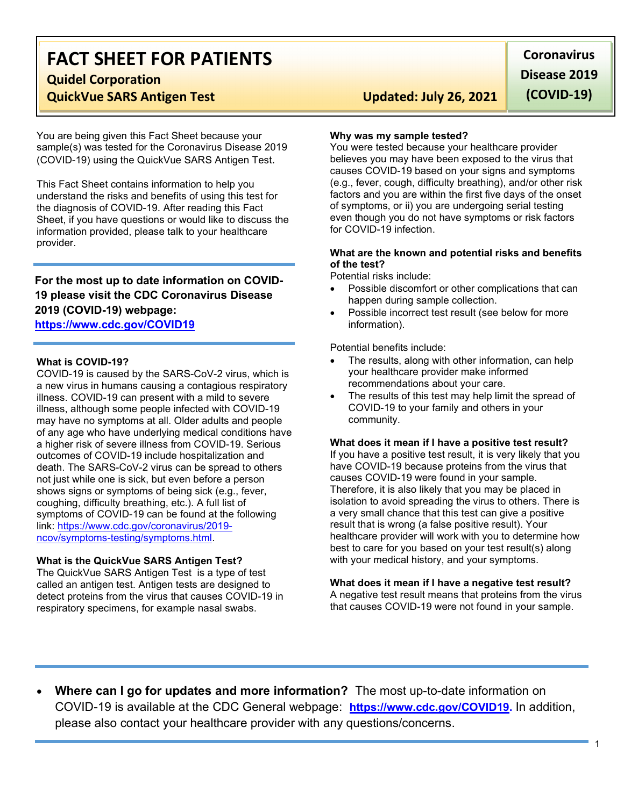# FACT SHEET FOR PATIENTS

Quidel Corporation

## QuickVue SARS Antigen Test Updated: July 26, 2021

You are being given this Fact Sheet because your sample(s) was tested for the Coronavirus Disease 2019 (COVID-19) using the QuickVue SARS Antigen Test.

This Fact Sheet contains information to help you understand the risks and benefits of using this test for the diagnosis of COVID-19. After reading this Fact Sheet, if you have questions or would like to discuss the information provided, please talk to your healthcare provider.

## For the most up to date information on COVID-19 please visit the CDC Coronavirus Disease 2019 (COVID-19) webpage:

## https://www.cdc.gov/COVID19

## What is COVID-19?

COVID-19 is caused by the SARS-CoV-2 virus, which is a new virus in humans causing a contagious respiratory illness. COVID-19 can present with a mild to severe illness, although some people infected with COVID-19 may have no symptoms at all. Older adults and people of any age who have underlying medical conditions have a higher risk of severe illness from COVID-19. Serious outcomes of COVID-19 include hospitalization and death. The SARS-CoV-2 virus can be spread to others not just while one is sick, but even before a person shows signs or symptoms of being sick (e.g., fever, coughing, difficulty breathing, etc.). A full list of symptoms of COVID-19 can be found at the following link: https://www.cdc.gov/coronavirus/2019 ncov/symptoms-testing/symptoms.html.

## What is the QuickVue SARS Antigen Test?

The QuickVue SARS Antigen Test is a type of test called an antigen test. Antigen tests are designed to detect proteins from the virus that causes COVID-19 in respiratory specimens, for example nasal swabs.

**Coronavirus** Disease 2019 (COVID-19)

## Why was my sample tested?

You were tested because your healthcare provider believes you may have been exposed to the virus that causes COVID-19 based on your signs and symptoms (e.g., fever, cough, difficulty breathing), and/or other risk factors and you are within the first five days of the onset of symptoms, or ii) you are undergoing serial testing even though you do not have symptoms or risk factors for COVID-19 infection.

## What are the known and potential risks and benefits of the test?

Potential risks include:

- Possible discomfort or other complications that can happen during sample collection.
- Possible incorrect test result (see below for more information).

Potential benefits include:

- The results, along with other information, can help your healthcare provider make informed recommendations about your care.
- The results of this test may help limit the spread of COVID-19 to your family and others in your community.

#### What does it mean if I have a positive test result?

If you have a positive test result, it is very likely that you have COVID-19 because proteins from the virus that causes COVID-19 were found in your sample. Therefore, it is also likely that you may be placed in isolation to avoid spreading the virus to others. There is a very small chance that this test can give a positive result that is wrong (a false positive result). Your healthcare provider will work with you to determine how best to care for you based on your test result(s) along with your medical history, and your symptoms.

## What does it mean if I have a negative test result?

A negative test result means that proteins from the virus that causes COVID-19 were not found in your sample.

Where can I go for updates and more information? The most up-to-date information on COVID-19 is available at the CDC General webpage: https://www.cdc.gov/COVID19. In addition, please also contact your healthcare provider with any questions/concerns.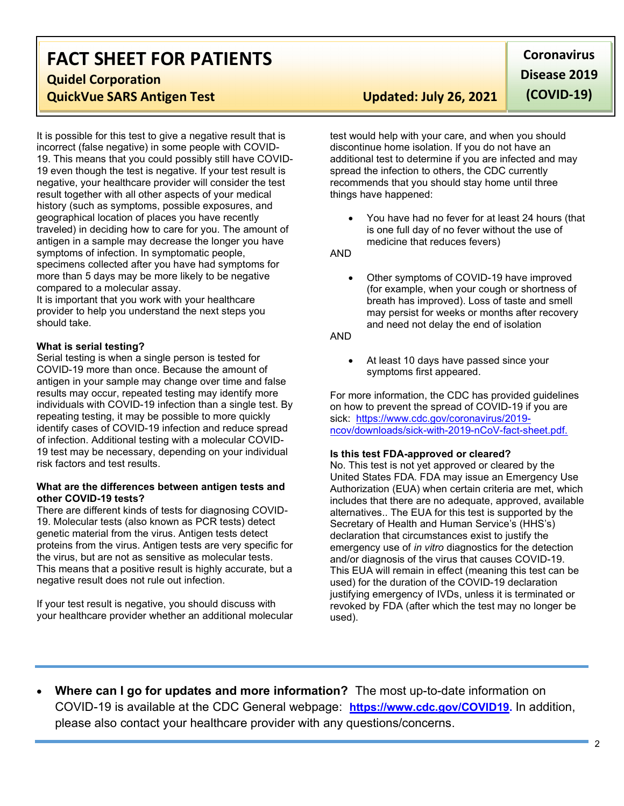# FACT SHEET FOR PATIENTS

## Quidel Corporation

## QuickVue SARS Antigen Test Updated: July 26, 2021

It is possible for this test to give a negative result that is incorrect (false negative) in some people with COVID-19. This means that you could possibly still have COVID-19 even though the test is negative. If your test result is negative, your healthcare provider will consider the test result together with all other aspects of your medical history (such as symptoms, possible exposures, and geographical location of places you have recently traveled) in deciding how to care for you. The amount of antigen in a sample may decrease the longer you have symptoms of infection. In symptomatic people, specimens collected after you have had symptoms for more than 5 days may be more likely to be negative compared to a molecular assay.

It is important that you work with your healthcare provider to help you understand the next steps you should take.

## What is serial testing?

Serial testing is when a single person is tested for COVID-19 more than once. Because the amount of antigen in your sample may change over time and false results may occur, repeated testing may identify more individuals with COVID-19 infection than a single test. By repeating testing, it may be possible to more quickly identify cases of COVID-19 infection and reduce spread of infection. Additional testing with a molecular COVID-19 test may be necessary, depending on your individual risk factors and test results.

## What are the differences between antigen tests and other COVID-19 tests?

There are different kinds of tests for diagnosing COVID-19. Molecular tests (also known as PCR tests) detect genetic material from the virus. Antigen tests detect proteins from the virus. Antigen tests are very specific for the virus, but are not as sensitive as molecular tests. This means that a positive result is highly accurate, but a negative result does not rule out infection.

If your test result is negative, you should discuss with your healthcare provider whether an additional molecular

**Coronavirus** Disease 2019

(COVID-19)

test would help with your care, and when you should discontinue home isolation. If you do not have an additional test to determine if you are infected and may spread the infection to others, the CDC currently recommends that you should stay home until three things have happened:

 You have had no fever for at least 24 hours (that is one full day of no fever without the use of medicine that reduces fevers)

AND

 Other symptoms of COVID-19 have improved (for example, when your cough or shortness of breath has improved). Loss of taste and smell may persist for weeks or months after recovery and need not delay the end of isolation

#### AND

 At least 10 days have passed since your symptoms first appeared.

For more information, the CDC has provided guidelines on how to prevent the spread of COVID-19 if you are sick: https://www.cdc.gov/coronavirus/2019 ncov/downloads/sick-with-2019-nCoV-fact-sheet.pdf.

## Is this test FDA-approved or cleared?

No. This test is not yet approved or cleared by the United States FDA. FDA may issue an Emergency Use Authorization (EUA) when certain criteria are met, which includes that there are no adequate, approved, available alternatives.. The EUA for this test is supported by the Secretary of Health and Human Service's (HHS's) declaration that circumstances exist to justify the emergency use of in vitro diagnostics for the detection and/or diagnosis of the virus that causes COVID-19. This EUA will remain in effect (meaning this test can be used) for the duration of the COVID-19 declaration justifying emergency of IVDs, unless it is terminated or revoked by FDA (after which the test may no longer be used).

Where can I go for updates and more information? The most up-to-date information on COVID-19 is available at the CDC General webpage: https://www.cdc.gov/COVID19. In addition, please also contact your healthcare provider with any questions/concerns.